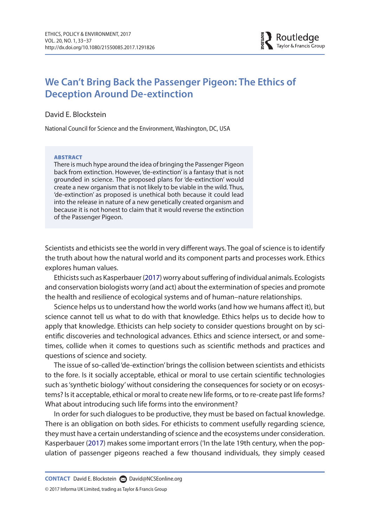# **We Can't Bring Back the Passenger Pigeon: The Ethics of Deception Around De-extinction**

### David E. Blockstein

National Council for Science and the Environment, Washington, DC, USA

#### **ABSTRACT**

There is much hype around the idea of bringing the Passenger Pigeon back from extinction. However, 'de-extinction' is a fantasy that is not grounded in science. The proposed plans for 'de-extinction' would create a new organism that is not likely to be viable in the wild. Thus, 'de-extinction' as proposed is unethical both because it could lead into the release in nature of a new genetically created organism and because it is not honest to claim that it would reverse the extinction of the Passenger Pigeon.

Scientists and ethicists see the world in very different ways. The goal of science is to identify the truth about how the natural world and its component parts and processes work. Ethics explores human values.

<span id="page-0-0"></span>Ethicists such as Kasperbauer [\(2017](#page-4-0)) worry about suffering of individual animals. Ecologists and conservation biologists worry (and act) about the extermination of species and promote the health and resilience of ecological systems and of human–nature relationships.

Science helps us to understand how the world works (and how we humans affect it), but science cannot tell us what to do with that knowledge. Ethics helps us to decide how to apply that knowledge. Ethicists can help society to consider questions brought on by scientific discoveries and technological advances. Ethics and science intersect, or and sometimes, collide when it comes to questions such as scientific methods and practices and questions of science and society.

The issue of so-called 'de-extinction' brings the collision between scientists and ethicists to the fore. Is it socially acceptable, ethical or moral to use certain scientific technologies such as 'synthetic biology' without considering the consequences for society or on ecosystems? Is it acceptable, ethical or moral to create new life forms, or to re-create past life forms? What about introducing such life forms into the environment?

In order for such dialogues to be productive, they must be based on factual knowledge. There is an obligation on both sides. For ethicists to comment usefully regarding science, they must have a certain understanding of science and the ecosystems under consideration. Kasperbauer [\(2017](#page-4-0)) makes some important errors ('In the late 19th century, when the population of passenger pigeons reached a few thousand individuals, they simply ceased

© 2017 Informa UK Limited, trading as Taylor & Francis Group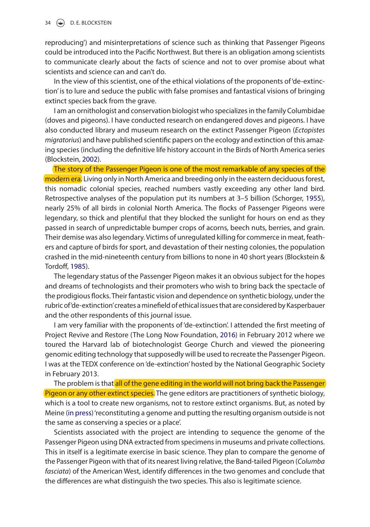#### $34 \quad \circled{4}$  D. E. BLOCKSTEIN

reproducing') and misinterpretations of science such as thinking that Passenger Pigeons could be introduced into the Pacific Northwest. But there is an obligation among scientists to communicate clearly about the facts of science and not to over promise about what scientists and science can and can't do.

In the view of this scientist, one of the ethical violations of the proponents of 'de-extinction' is to lure and seduce the public with false promises and fantastical visions of bringing extinct species back from the grave.

I am an ornithologist and conservation biologist who specializes in the family Columbidae (doves and pigeons). I have conducted research on endangered doves and pigeons. I have also conducted library and museum research on the extinct Passenger Pigeon (*Ectopistes migratorius*) and have published scientific papers on the ecology and extinction of this amazing species (including the definitive life history account in the Birds of North America series (Blockstein, [2002](#page-3-0)).

<span id="page-1-3"></span><span id="page-1-0"></span>The story of the Passenger Pigeon is one of the most remarkable of any species of the modern era. Living only in North America and breeding only in the eastern deciduous forest, this nomadic colonial species, reached numbers vastly exceeding any other land bird. Retrospective analyses of the population put its numbers at 3–5 billion (Schorger, [1955](#page-4-1)), nearly 25% of all birds in colonial North America. The flocks of Passenger Pigeons were legendary, so thick and plentiful that they blocked the sunlight for hours on end as they passed in search of unpredictable bumper crops of acorns, beech nuts, berries, and grain. Their demise was also legendary. Victims of unregulated killing for commerce in meat, feathers and capture of birds for sport, and devastation of their nesting colonies, the population crashed in the mid-nineteenth century from billions to none in 40 short years (Blockstein & Tordoff, [1985](#page-3-1)).

<span id="page-1-1"></span>The legendary status of the Passenger Pigeon makes it an obvious subject for the hopes and dreams of technologists and their promoters who wish to bring back the spectacle of the prodigious flocks. Their fantastic vision and dependence on synthetic biology, under the rubric of 'de-extinction' creates a minefield of ethical issues that are considered by Kasperbauer and the other respondents of this journal issue.

<span id="page-1-4"></span>I am very familiar with the proponents of 'de-extinction'. I attended the first meeting of Project Revive and Restore (The Long Now Foundation, [2016](#page-4-2)) in February 2012 where we toured the Harvard lab of biotechnologist George Church and viewed the pioneering genomic editing technology that supposedly will be used to recreate the Passenger Pigeon. I was at the TEDX conference on 'de-extinction' hosted by the National Geographic Society in February 2013.

The problem is that all of the gene editing in the world will not bring back the Passenger Pigeon or any other extinct species. The gene editors are practitioners of synthetic biology, which is a tool to create new organisms, not to restore extinct organisms. But, as noted by Meine ([in press](#page-4-3)) 'reconstituting a genome and putting the resulting organism outside is not the same as conserving a species or a place'.

<span id="page-1-2"></span>Scientists associated with the project are intending to sequence the genome of the Passenger Pigeon using DNA extracted from specimens in museums and private collections. This in itself is a legitimate exercise in basic science. They plan to compare the genome of the Passenger Pigeon with that of its nearest living relative, the Band-tailed Pigeon (*Columba fasciata*) of the American West, identify differences in the two genomes and conclude that the differences are what distinguish the two species. This also is legitimate science.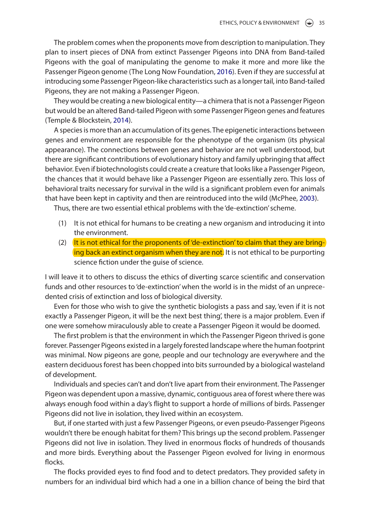The problem comes when the proponents move from description to manipulation. They plan to insert pieces of DNA from extinct Passenger Pigeons into DNA from Band-tailed Pigeons with the goal of manipulating the genome to make it more and more like the Passenger Pigeon genome (The Long Now Foundation, [2016\)](#page-4-2). Even if they are successful at introducing some Passenger Pigeon-like characteristics such as a longer tail, into Band-tailed Pigeons, they are not making a Passenger Pigeon.

They would be creating a new biological entity—a chimera that is not a Passenger Pigeon but would be an altered Band-tailed Pigeon with some Passenger Pigeon genes and features (Temple & Blockstein, [2014\)](#page-4-4).

<span id="page-2-1"></span>A species is more than an accumulation of its genes. The epigenetic interactions between genes and environment are responsible for the phenotype of the organism (its physical appearance). The connections between genes and behavior are not well understood, but there are significant contributions of evolutionary history and family upbringing that affect behavior. Even if biotechnologists could create a creature that looks like a Passenger Pigeon, the chances that it would behave like a Passenger Pigeon are essentially zero. This loss of behavioral traits necessary for survival in the wild is a significant problem even for animals that have been kept in captivity and then are reintroduced into the wild (McPhee, [2003\)](#page-4-5).

Thus, there are two essential ethical problems with the 'de-extinction' scheme.

- <span id="page-2-0"></span>(1) It is not ethical for humans to be creating a new organism and introducing it into the environment.
- (2) It is not ethical for the proponents of 'de-extinction' to claim that they are bringing back an extinct organism when they are not. It is not ethical to be purporting science fiction under the guise of science.

I will leave it to others to discuss the ethics of diverting scarce scientific and conservation funds and other resources to 'de-extinction' when the world is in the midst of an unprecedented crisis of extinction and loss of biological diversity.

Even for those who wish to give the synthetic biologists a pass and say, 'even if it is not exactly a Passenger Pigeon, it will be the next best thing', there is a major problem. Even if one were somehow miraculously able to create a Passenger Pigeon it would be doomed.

The first problem is that the environment in which the Passenger Pigeon thrived is gone forever. Passenger Pigeons existed in a largely forested landscape where the human footprint was minimal. Now pigeons are gone, people and our technology are everywhere and the eastern deciduous forest has been chopped into bits surrounded by a biological wasteland of development.

Individuals and species can't and don't live apart from their environment. The Passenger Pigeon was dependent upon a massive, dynamic, contiguous area of forest where there was always enough food within a day's flight to support a horde of millions of birds. Passenger Pigeons did not live in isolation, they lived within an ecosystem.

But, if one started with just a few Passenger Pigeons, or even pseudo-Passenger Pigeons wouldn't there be enough habitat for them? This brings up the second problem. Passenger Pigeons did not live in isolation. They lived in enormous flocks of hundreds of thousands and more birds. Everything about the Passenger Pigeon evolved for living in enormous flocks.

The flocks provided eyes to find food and to detect predators. They provided safety in numbers for an individual bird which had a one in a billion chance of being the bird that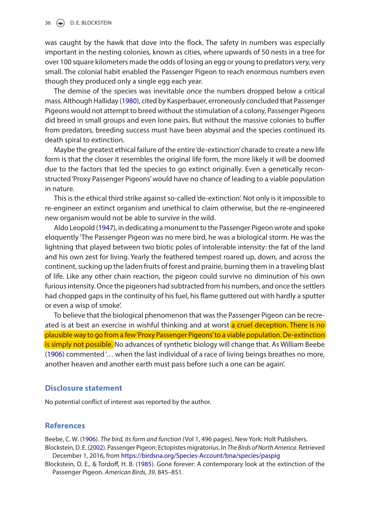#### 36 D. E. BLOCKSTEIN

was caught by the hawk that dove into the flock. The safety in numbers was especially important in the nesting colonies, known as cities, where upwards of 50 nests in a tree for over 100 square kilometers made the odds of losing an egg or young to predators very, very small. The colonial habit enabled the Passenger Pigeon to reach enormous numbers even though they produced only a single egg each year.

<span id="page-3-4"></span>The demise of the species was inevitable once the numbers dropped below a critical mass. Although Halliday [\(1980](#page-4-6)), cited by Kasperbauer, erroneously concluded that Passenger Pigeons would not attempt to breed without the stimulation of a colony, Passenger Pigeons did breed in small groups and even lone pairs. But without the massive colonies to buffer from predators, breeding success must have been abysmal and the species continued its death spiral to extinction.

Maybe the greatest ethical failure of the entire 'de-extinction' charade to create a new life form is that the closer it resembles the original life form, the more likely it will be doomed due to the factors that led the species to go extinct originally. Even a genetically reconstructed 'Proxy Passenger Pigeons' would have no chance of leading to a viable population in nature.

This is the ethical third strike against so-called 'de-extinction'. Not only is it impossible to re-engineer an extinct organism and unethical to claim otherwise, but the re-engineered new organism would not be able to survive in the wild.

<span id="page-3-5"></span>Aldo Leopold [\(1947](#page-4-7)), in dedicating a monument to the Passenger Pigeon wrote and spoke eloquently 'The Passenger Pigeon was no mere bird, he was a biological storm. He was the lightning that played between two biotic poles of intolerable intensity: the fat of the land and his own zest for living. Yearly the feathered tempest roared up, down, and across the continent, sucking up the laden fruits of forest and prairie, burning them in a traveling blast of life. Like any other chain reaction, the pigeon could survive no diminution of his own furious intensity. Once the pigeoners had subtracted from his numbers, and once the settlers had chopped gaps in the continuity of his fuel, his flame guttered out with hardly a sputter or even a wisp of smoke'.

<span id="page-3-3"></span>To believe that the biological phenomenon that was the Passenger Pigeon can be recreated is at best an exercise in wishful thinking and at worst a cruel deception. There is no plausible way to go from a few 'Proxy Passenger Pigeons' to a viable population. De-extinction is simply not possible. No advances of synthetic biology will change that. As William Beebe ([1906](#page-3-2)) commented '… when the last individual of a race of living beings breathes no more, another heaven and another earth must pass before such a one can be again'.

#### **Disclosure statement**

No potential conflict of interest was reported by the author.

## **References**

<span id="page-3-2"></span><span id="page-3-0"></span>Beebe, C. W. [\(1906\)](#page-3-3). *The bird, its form and function* (Vol 1, 496 pages). New York: Holt Publishers. Blockstein, D. E. [\(2002\)](#page-1-0). Passenger Pigeon: Ectopistes migratorius. In *The Birds of North America*. Retrieved December 1, 2016, from<https://birdsna.org/Species-Account/bna/species/paspig>

<span id="page-3-1"></span>Blockstein, D. E., & Tordoff, H. B. ([1985](#page-1-1)). Gone forever: A contemporary look at the extinction of the Passenger Pigeon. *American Birds, 39*, 845–851.